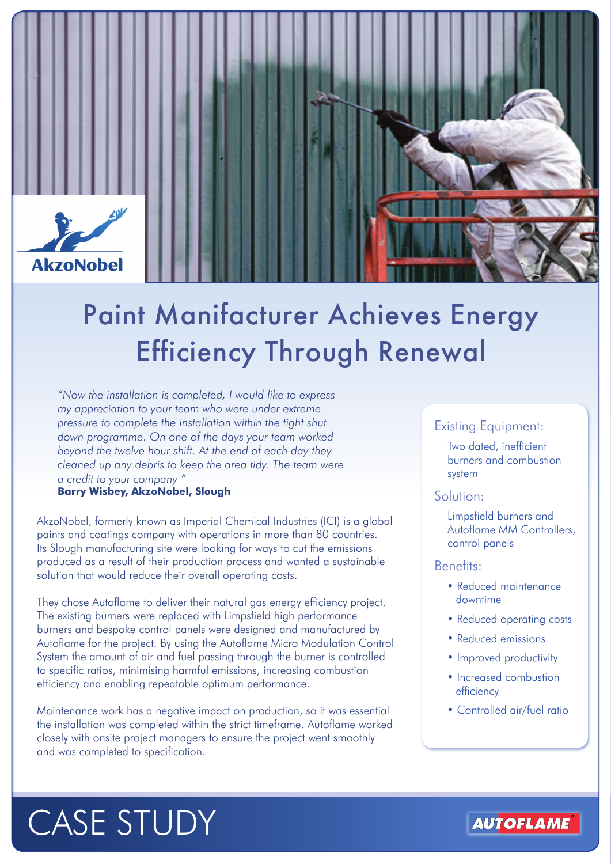

## Paint Manifacturer Achieves Energy Efficiency Through Renewal

*"Now the installation is completed, I would like to express my appreciation to your team who were under extreme pressure to complete the installation within the tight shut down programme. On one of the days your team worked beyond the twelve hour shift. At the end of each day they cleaned up any debris to keep the area tidy. The team were a credit to your company "*

**Barry Wisbey, AkzoNobel, Slough**

AkzoNobel, formerly known as Imperial Chemical Industries (ICI) is a global paints and coatings company with operations in more than 80 countries. Its Slough manufacturing site were looking for ways to cut the emissions produced as a result of their production process and wanted a sustainable solution that would reduce their overall operating costs.

They chose Autoflame to deliver their natural gas energy efficiency project. The existing burners were replaced with Limpsfield high performance burners and bespoke control panels were designed and manufactured by Autoflame for the project. By using the Autoflame Micro Modulation Control System the amount of air and fuel passing through the burner is controlled to specific ratios, minimising harmful emissions, increasing combustion efficiency and enabling repeatable optimum performance.

Maintenance work has a negative impact on production, so it was essential the installation was completed within the strict timeframe. Autoflame worked closely with onsite project managers to ensure the project went smoothly and was completed to specification.

#### Existing Equipment:

Two dated, inefficient burners and combustion system

#### Solution:

Limpsfield burners and Autoflame MM Controllers, control panels

#### Benefits:

- Reduced maintenance downtime
- Reduced operating costs
- Reduced emissions
- Improved productivity
- Increased combustion efficiency
- Controlled air/fuel ratio

# CASE STUDY